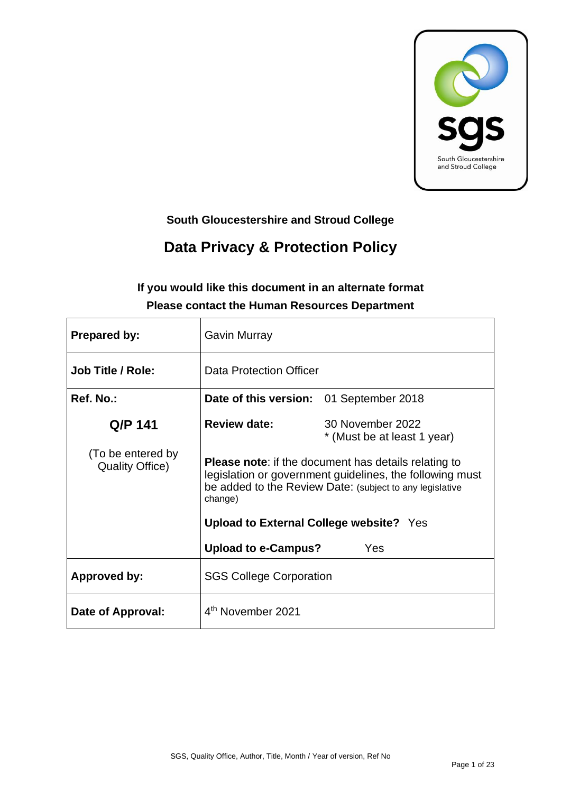

# **South Gloucestershire and Stroud College**

# **Data Privacy & Protection Policy**

# **If you would like this document in an alternate format Please contact the Human Resources Department**

| <b>Prepared by:</b>                         | Gavin Murray                                                                                                                                                                                   |                                                 |  |
|---------------------------------------------|------------------------------------------------------------------------------------------------------------------------------------------------------------------------------------------------|-------------------------------------------------|--|
| <b>Job Title / Role:</b>                    | Data Protection Officer                                                                                                                                                                        |                                                 |  |
| Ref. No.:                                   | Date of this version: 01 September 2018                                                                                                                                                        |                                                 |  |
| Q/P 141                                     | <b>Review date:</b>                                                                                                                                                                            | 30 November 2022<br>* (Must be at least 1 year) |  |
| (To be entered by<br><b>Quality Office)</b> | <b>Please note:</b> if the document has details relating to<br>legislation or government guidelines, the following must<br>be added to the Review Date: (subject to any legislative<br>change) |                                                 |  |
|                                             | <b>Upload to External College website?</b> Yes                                                                                                                                                 |                                                 |  |
|                                             | <b>Upload to e-Campus?</b>                                                                                                                                                                     | Yes                                             |  |
| <b>Approved by:</b>                         | <b>SGS College Corporation</b>                                                                                                                                                                 |                                                 |  |
| Date of Approval:                           | 4 <sup>th</sup> November 2021                                                                                                                                                                  |                                                 |  |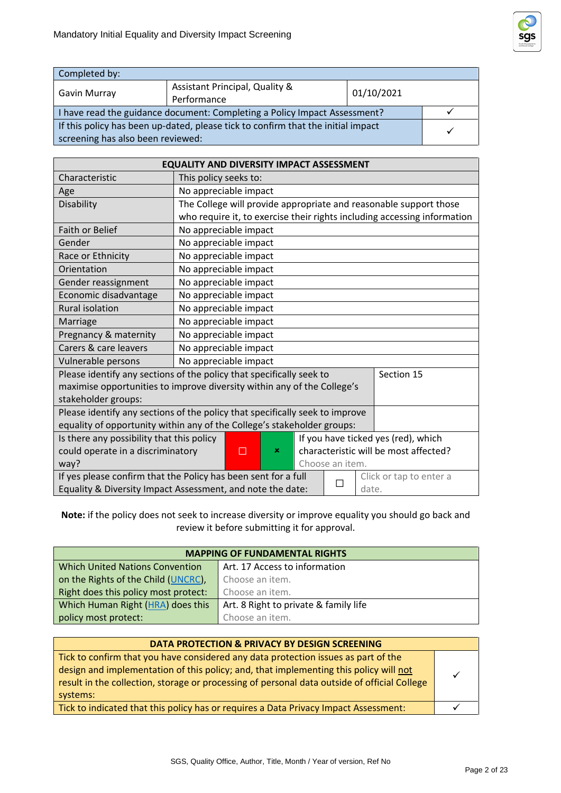

| Completed by:                                                                    |                                |            |              |
|----------------------------------------------------------------------------------|--------------------------------|------------|--------------|
|                                                                                  | Assistant Principal, Quality & | 01/10/2021 |              |
| Gavin Murray                                                                     | Performance                    |            |              |
| I have read the guidance document: Completing a Policy Impact Assessment?        |                                |            |              |
| If this policy has been up-dated, please tick to confirm that the initial impact |                                |            | $\checkmark$ |
| screening has also been reviewed:                                                |                                |            |              |

| <b>EQUALITY AND DIVERSITY IMPACT ASSESSMENT</b>                                           |                                                                              |  |            |  |
|-------------------------------------------------------------------------------------------|------------------------------------------------------------------------------|--|------------|--|
| Characteristic                                                                            | This policy seeks to:                                                        |  |            |  |
| Age                                                                                       | No appreciable impact                                                        |  |            |  |
| Disability                                                                                | The College will provide appropriate and reasonable support those            |  |            |  |
|                                                                                           | who require it, to exercise their rights including accessing information     |  |            |  |
| <b>Faith or Belief</b>                                                                    | No appreciable impact                                                        |  |            |  |
| Gender                                                                                    | No appreciable impact                                                        |  |            |  |
| Race or Ethnicity                                                                         | No appreciable impact                                                        |  |            |  |
| Orientation                                                                               | No appreciable impact                                                        |  |            |  |
| Gender reassignment                                                                       | No appreciable impact                                                        |  |            |  |
| Economic disadvantage                                                                     | No appreciable impact                                                        |  |            |  |
| <b>Rural isolation</b>                                                                    | No appreciable impact                                                        |  |            |  |
| Marriage                                                                                  | No appreciable impact                                                        |  |            |  |
| Pregnancy & maternity                                                                     | No appreciable impact                                                        |  |            |  |
| Carers & care leavers                                                                     | No appreciable impact                                                        |  |            |  |
| Vulnerable persons                                                                        | No appreciable impact                                                        |  |            |  |
|                                                                                           | Please identify any sections of the policy that specifically seek to         |  | Section 15 |  |
|                                                                                           | maximise opportunities to improve diversity within any of the College's      |  |            |  |
| stakeholder groups:                                                                       |                                                                              |  |            |  |
|                                                                                           | Please identify any sections of the policy that specifically seek to improve |  |            |  |
| equality of opportunity within any of the College's stakeholder groups:                   |                                                                              |  |            |  |
| If you have ticked yes (red), which<br>Is there any possibility that this policy          |                                                                              |  |            |  |
| characteristic will be most affected?<br>could operate in a discriminatory<br>×<br>П      |                                                                              |  |            |  |
| Choose an item.<br>way?                                                                   |                                                                              |  |            |  |
| If yes please confirm that the Policy has been sent for a full<br>Click or tap to enter a |                                                                              |  |            |  |
| Equality & Diversity Impact Assessment, and note the date:<br>date.                       |                                                                              |  |            |  |

**Note:** if the policy does not seek to increase diversity or improve equality you should go back and review it before submitting it for approval.

| <b>MAPPING OF FUNDAMENTAL RIGHTS</b>                    |                                       |  |  |
|---------------------------------------------------------|---------------------------------------|--|--|
| <b>Which United Nations Convention</b>                  | Art. 17 Access to information         |  |  |
| on the Rights of the Child (UNCRC),                     | Choose an item.                       |  |  |
| Right does this policy most protect:<br>Choose an item. |                                       |  |  |
| Which Human Right (HRA) does this                       | Art. 8 Right to private & family life |  |  |
| policy most protect:                                    | Choose an item.                       |  |  |

| <b>DATA PROTECTION &amp; PRIVACY BY DESIGN SCREENING</b>                                                                                                                                                                                                                                |  |
|-----------------------------------------------------------------------------------------------------------------------------------------------------------------------------------------------------------------------------------------------------------------------------------------|--|
| Tick to confirm that you have considered any data protection issues as part of the<br>design and implementation of this policy; and, that implementing this policy will not<br>result in the collection, storage or processing of personal data outside of official College<br>systems: |  |
| Tick to indicated that this policy has or requires a Data Privacy Impact Assessment:                                                                                                                                                                                                    |  |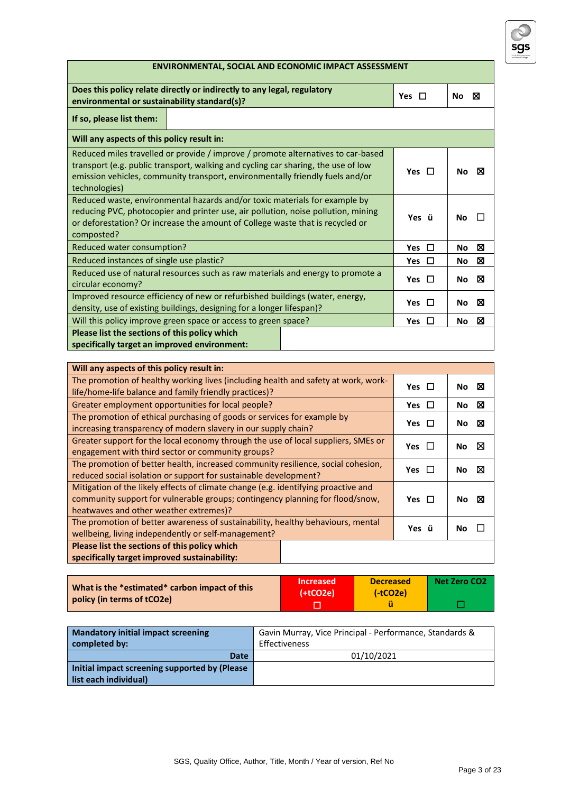

# **ENVIRONMENTAL, SOCIAL AND ECONOMIC IMPACT ASSESSMENT Does this policy relate directly or indirectly to any legal, regulatory environmental or sustainability standard(s)? Yes** ☐ **No** ☒

# **If so, please list them:**

| II SO, piedse iist tiiem.                                                                                                                                                                                                                                               |            |                |
|-------------------------------------------------------------------------------------------------------------------------------------------------------------------------------------------------------------------------------------------------------------------------|------------|----------------|
| Will any aspects of this policy result in:                                                                                                                                                                                                                              |            |                |
| Reduced miles travelled or provide / improve / promote alternatives to car-based<br>transport (e.g. public transport, walking and cycling car sharing, the use of low<br>emission vehicles, community transport, environmentally friendly fuels and/or<br>technologies) | Yes $\Box$ | No l<br>⊠      |
| Reduced waste, environmental hazards and/or toxic materials for example by<br>reducing PVC, photocopier and printer use, air pollution, noise pollution, mining<br>or deforestation? Or increase the amount of College waste that is recycled or<br>composted?          | Yes ü      | No.            |
| Reduced water consumption?                                                                                                                                                                                                                                              | Yes $\Box$ | ⊠<br>No        |
| Reduced instances of single use plastic?                                                                                                                                                                                                                                | Yes $\Box$ | ⊠<br>No.       |
| Reduced use of natural resources such as raw materials and energy to promote a<br>circular economy?                                                                                                                                                                     | Yes $\Box$ | No $\boxtimes$ |
| Improved resource efficiency of new or refurbished buildings (water, energy,<br>density, use of existing buildings, designing for a longer lifespan)?                                                                                                                   | Yes $\Box$ | No $\boxtimes$ |
| Will this policy improve green space or access to green space?                                                                                                                                                                                                          | Yes $\Box$ | ⊠<br>No        |
| Please list the sections of this policy which<br>specifically target an improved environment:                                                                                                                                                                           |            |                |

| Will any aspects of this policy result in:                                                                                                                                                                    |            |          |
|---------------------------------------------------------------------------------------------------------------------------------------------------------------------------------------------------------------|------------|----------|
| The promotion of healthy working lives (including health and safety at work, work-<br>life/home-life balance and family friendly practices)?                                                                  | Yes $\Box$ | ⊠<br>No. |
| Greater employment opportunities for local people?                                                                                                                                                            | Yes $\Box$ | ⊠<br>No. |
| The promotion of ethical purchasing of goods or services for example by<br>increasing transparency of modern slavery in our supply chain?                                                                     | Yes $\Box$ | ⊠<br>No. |
| Greater support for the local economy through the use of local suppliers, SMEs or<br>engagement with third sector or community groups?                                                                        | <b>Yes</b> | ⊠<br>No. |
| The promotion of better health, increased community resilience, social cohesion,<br>reduced social isolation or support for sustainable development?                                                          | Yes $\Box$ | ⋈<br>No. |
| Mitigation of the likely effects of climate change (e.g. identifying proactive and<br>community support for vulnerable groups; contingency planning for flood/snow,<br>heatwaves and other weather extremes)? | Yes $\Box$ | No.<br>⊠ |
| The promotion of better awareness of sustainability, healthy behaviours, mental<br>wellbeing, living independently or self-management?                                                                        | Yes ü      | No.      |
| Please list the sections of this policy which<br>specifically target improved sustainability:                                                                                                                 |            |          |

| What is the *estimated* carbon impact of this<br>policy (in terms of tCO2e) | <b>Increased</b><br>$(+tCO2e)$ | <b>Decreased</b><br>$(-tCO2e)$ | Net Zero CO2 |
|-----------------------------------------------------------------------------|--------------------------------|--------------------------------|--------------|
|                                                                             |                                |                                |              |

| <b>Mandatory initial impact screening</b><br>completed by: | Gavin Murray, Vice Principal - Performance, Standards &<br>Effectiveness |
|------------------------------------------------------------|--------------------------------------------------------------------------|
| <b>Date</b>                                                | 01/10/2021                                                               |
| Initial impact screening supported by (Please              |                                                                          |
| list each individual)                                      |                                                                          |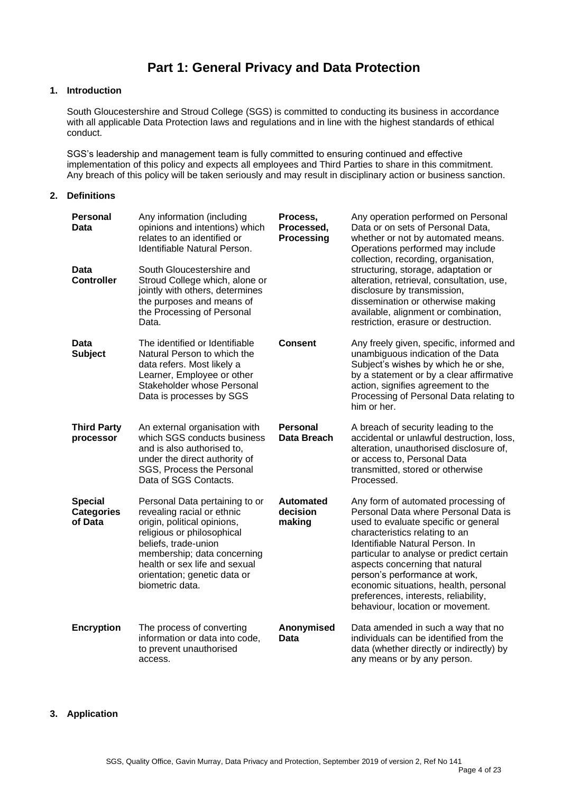# **Part 1: General Privacy and Data Protection**

# **1. Introduction**

South Gloucestershire and Stroud College (SGS) is committed to conducting its business in accordance with all applicable Data Protection laws and regulations and in line with the highest standards of ethical conduct.

SGS's leadership and management team is fully committed to ensuring continued and effective implementation of this policy and expects all employees and Third Parties to share in this commitment. Any breach of this policy will be taken seriously and may result in disciplinary action or business sanction.

#### **2. Definitions**

| <b>Personal</b><br>Data                        | Any information (including<br>opinions and intentions) which<br>relates to an identified or<br>Identifiable Natural Person.                                                                                                                                          | Process,<br>Processed,<br>Processing   | Any operation performed on Personal<br>Data or on sets of Personal Data,<br>whether or not by automated means.<br>Operations performed may include<br>collection, recording, organisation,                                                                                                                                                                                                                                    |
|------------------------------------------------|----------------------------------------------------------------------------------------------------------------------------------------------------------------------------------------------------------------------------------------------------------------------|----------------------------------------|-------------------------------------------------------------------------------------------------------------------------------------------------------------------------------------------------------------------------------------------------------------------------------------------------------------------------------------------------------------------------------------------------------------------------------|
| Data<br><b>Controller</b>                      | South Gloucestershire and<br>Stroud College which, alone or<br>jointly with others, determines<br>the purposes and means of<br>the Processing of Personal<br>Data.                                                                                                   |                                        | structuring, storage, adaptation or<br>alteration, retrieval, consultation, use,<br>disclosure by transmission,<br>dissemination or otherwise making<br>available, alignment or combination,<br>restriction, erasure or destruction.                                                                                                                                                                                          |
| Data<br><b>Subject</b>                         | The identified or Identifiable<br>Natural Person to which the<br>data refers. Most likely a<br>Learner, Employee or other<br>Stakeholder whose Personal<br>Data is processes by SGS                                                                                  | <b>Consent</b>                         | Any freely given, specific, informed and<br>unambiguous indication of the Data<br>Subject's wishes by which he or she,<br>by a statement or by a clear affirmative<br>action, signifies agreement to the<br>Processing of Personal Data relating to<br>him or her.                                                                                                                                                            |
| <b>Third Party</b><br>processor                | An external organisation with<br>which SGS conducts business<br>and is also authorised to,<br>under the direct authority of<br>SGS, Process the Personal<br>Data of SGS Contacts.                                                                                    | <b>Personal</b><br>Data Breach         | A breach of security leading to the<br>accidental or unlawful destruction, loss,<br>alteration, unauthorised disclosure of,<br>or access to, Personal Data<br>transmitted, stored or otherwise<br>Processed.                                                                                                                                                                                                                  |
| <b>Special</b><br><b>Categories</b><br>of Data | Personal Data pertaining to or<br>revealing racial or ethnic<br>origin, political opinions,<br>religious or philosophical<br>beliefs, trade-union<br>membership; data concerning<br>health or sex life and sexual<br>orientation; genetic data or<br>biometric data. | <b>Automated</b><br>decision<br>making | Any form of automated processing of<br>Personal Data where Personal Data is<br>used to evaluate specific or general<br>characteristics relating to an<br>Identifiable Natural Person. In<br>particular to analyse or predict certain<br>aspects concerning that natural<br>person's performance at work,<br>economic situations, health, personal<br>preferences, interests, reliability,<br>behaviour, location or movement. |
| <b>Encryption</b>                              | The process of converting<br>information or data into code,<br>to prevent unauthorised<br>access.                                                                                                                                                                    | Anonymised<br>Data                     | Data amended in such a way that no<br>individuals can be identified from the<br>data (whether directly or indirectly) by<br>any means or by any person.                                                                                                                                                                                                                                                                       |
|                                                |                                                                                                                                                                                                                                                                      |                                        |                                                                                                                                                                                                                                                                                                                                                                                                                               |

#### **3. Application**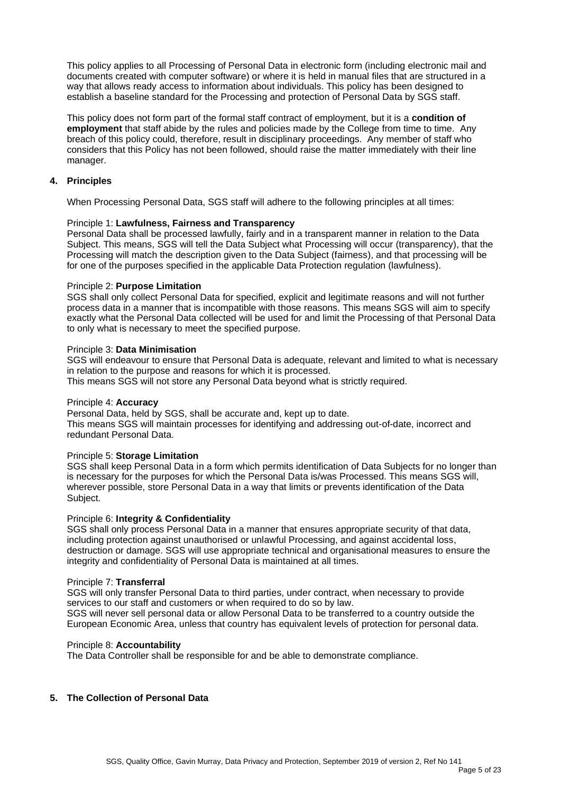This policy applies to all Processing of Personal Data in electronic form (including electronic mail and documents created with computer software) or where it is held in manual files that are structured in a way that allows ready access to information about individuals. This policy has been designed to establish a baseline standard for the Processing and protection of Personal Data by SGS staff.

This policy does not form part of the formal staff contract of employment, but it is a **condition of employment** that staff abide by the rules and policies made by the College from time to time. Any breach of this policy could, therefore, result in disciplinary proceedings. Any member of staff who considers that this Policy has not been followed, should raise the matter immediately with their line manager.

# **4. Principles**

When Processing Personal Data, SGS staff will adhere to the following principles at all times:

#### Principle 1: **Lawfulness, Fairness and Transparency**

Personal Data shall be processed lawfully, fairly and in a transparent manner in relation to the Data Subject. This means, SGS will tell the Data Subject what Processing will occur (transparency), that the Processing will match the description given to the Data Subject (fairness), and that processing will be for one of the purposes specified in the applicable Data Protection regulation (lawfulness).

#### Principle 2: **Purpose Limitation**

SGS shall only collect Personal Data for specified, explicit and legitimate reasons and will not further process data in a manner that is incompatible with those reasons. This means SGS will aim to specify exactly what the Personal Data collected will be used for and limit the Processing of that Personal Data to only what is necessary to meet the specified purpose.

#### Principle 3: **Data Minimisation**

SGS will endeavour to ensure that Personal Data is adequate, relevant and limited to what is necessary in relation to the purpose and reasons for which it is processed. This means SGS will not store any Personal Data beyond what is strictly required.

#### Principle 4: **Accuracy**

Personal Data, held by SGS, shall be accurate and, kept up to date. This means SGS will maintain processes for identifying and addressing out-of-date, incorrect and redundant Personal Data.

#### Principle 5: **Storage Limitation**

SGS shall keep Personal Data in a form which permits identification of Data Subjects for no longer than is necessary for the purposes for which the Personal Data is/was Processed. This means SGS will, wherever possible, store Personal Data in a way that limits or prevents identification of the Data Subject.

#### Principle 6: **Integrity & Confidentiality**

SGS shall only process Personal Data in a manner that ensures appropriate security of that data, including protection against unauthorised or unlawful Processing, and against accidental loss, destruction or damage. SGS will use appropriate technical and organisational measures to ensure the integrity and confidentiality of Personal Data is maintained at all times.

#### Principle 7: **Transferral**

SGS will only transfer Personal Data to third parties, under contract, when necessary to provide services to our staff and customers or when required to do so by law. SGS will never sell personal data or allow Personal Data to be transferred to a country outside the European Economic Area, unless that country has equivalent levels of protection for personal data.

#### Principle 8: **Accountability**

The Data Controller shall be responsible for and be able to demonstrate compliance.

#### **5. The Collection of Personal Data**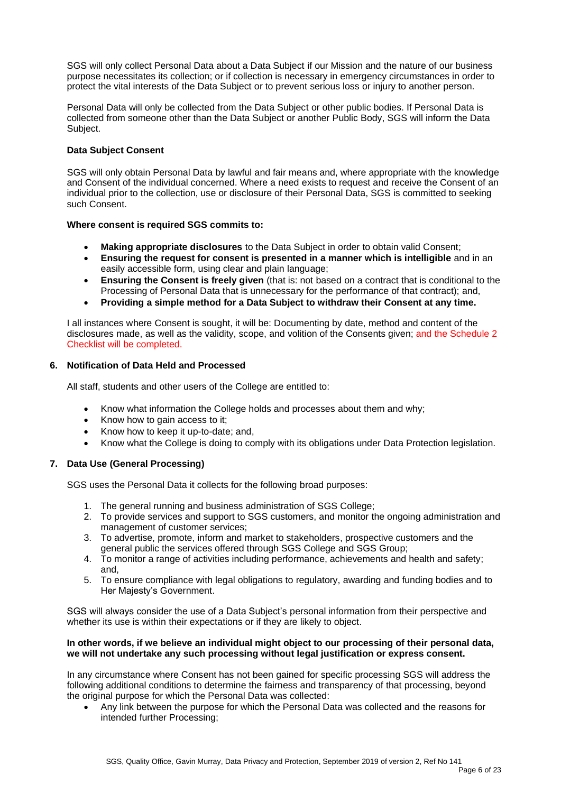SGS will only collect Personal Data about a Data Subject if our Mission and the nature of our business purpose necessitates its collection; or if collection is necessary in emergency circumstances in order to protect the vital interests of the Data Subject or to prevent serious loss or injury to another person.

Personal Data will only be collected from the Data Subject or other public bodies. If Personal Data is collected from someone other than the Data Subject or another Public Body, SGS will inform the Data Subject.

#### **Data Subject Consent**

SGS will only obtain Personal Data by lawful and fair means and, where appropriate with the knowledge and Consent of the individual concerned. Where a need exists to request and receive the Consent of an individual prior to the collection, use or disclosure of their Personal Data, SGS is committed to seeking such Consent.

#### **Where consent is required SGS commits to:**

- 
- **Making appropriate disclosures** to the Data Subject in order to obtain valid Consent; • **Ensuring the request for consent is presented in a manner which is intelligible** and in an easily accessible form, using clear and plain language;
- **Ensuring the Consent is freely given** (that is: not based on a contract that is conditional to the Processing of Personal Data that is unnecessary for the performance of that contract); and,
- **Providing a simple method for a Data Subject to withdraw their Consent at any time.**

I all instances where Consent is sought, it will be: Documenting by date, method and content of the disclosures made, as well as the validity, scope, and volition of the Consents given; and the Schedule 2 Checklist will be completed.

# **6. Notification of Data Held and Processed**

All staff, students and other users of the College are entitled to:

- Know what information the College holds and processes about them and why;
- Know how to gain access to it;
- Know how to keep it up-to-date; and,
- Know what the College is doing to comply with its obligations under Data Protection legislation.

# **7. Data Use (General Processing)**

SGS uses the Personal Data it collects for the following broad purposes:

- 1. The general running and business administration of SGS College;
- 2. To provide services and support to SGS customers, and monitor the ongoing administration and management of customer services;
- 3. To advertise, promote, inform and market to stakeholders, prospective customers and the general public the services offered through SGS College and SGS Group;
- 4. To monitor a range of activities including performance, achievements and health and safety; and,
- 5. To ensure compliance with legal obligations to regulatory, awarding and funding bodies and to Her Majesty's Government.

SGS will always consider the use of a Data Subject's personal information from their perspective and whether its use is within their expectations or if they are likely to object.

#### **In other words, if we believe an individual might object to our processing of their personal data, we will not undertake any such processing without legal justification or express consent.**

In any circumstance where Consent has not been gained for specific processing SGS will address the following additional conditions to determine the fairness and transparency of that processing, beyond the original purpose for which the Personal Data was collected:

• Any link between the purpose for which the Personal Data was collected and the reasons for intended further Processing;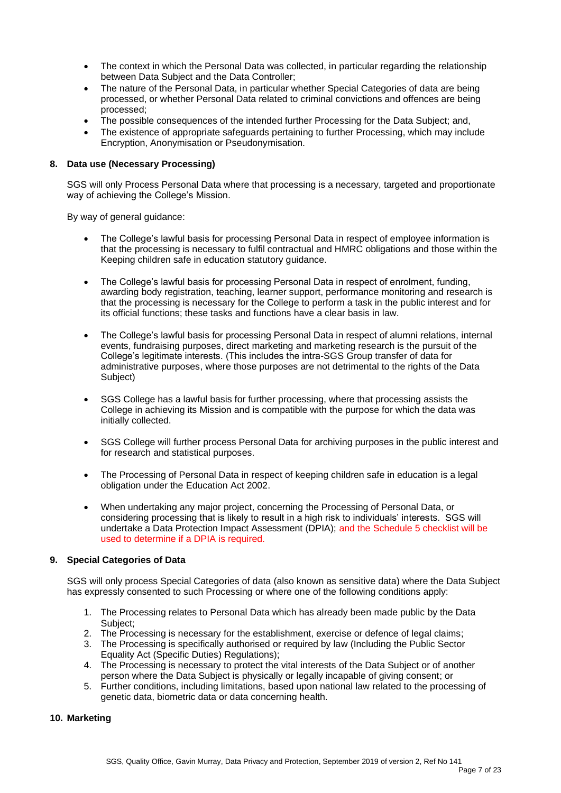- The context in which the Personal Data was collected, in particular regarding the relationship between Data Subject and the Data Controller;
- The nature of the Personal Data, in particular whether Special Categories of data are being processed, or whether Personal Data related to criminal convictions and offences are being processed;
- The possible consequences of the intended further Processing for the Data Subject; and,
- The existence of appropriate safeguards pertaining to further Processing, which may include Encryption, Anonymisation or Pseudonymisation.

# **8. Data use (Necessary Processing)**

SGS will only Process Personal Data where that processing is a necessary, targeted and proportionate way of achieving the College's Mission.

By way of general guidance:

- The College's lawful basis for processing Personal Data in respect of employee information is that the processing is necessary to fulfil contractual and HMRC obligations and those within the Keeping children safe in education statutory guidance.
- The College's lawful basis for processing Personal Data in respect of enrolment, funding, awarding body registration, teaching, learner support, performance monitoring and research is that the processing is necessary for the College to perform a task in the public interest and for its official functions; these tasks and functions have a clear basis in law.
- The College's lawful basis for processing Personal Data in respect of alumni relations, internal events, fundraising purposes, direct marketing and marketing research is the pursuit of the College's legitimate interests. (This includes the intra-SGS Group transfer of data for administrative purposes, where those purposes are not detrimental to the rights of the Data Subject)
- SGS College has a lawful basis for further processing, where that processing assists the College in achieving its Mission and is compatible with the purpose for which the data was initially collected.
- SGS College will further process Personal Data for archiving purposes in the public interest and for research and statistical purposes.
- The Processing of Personal Data in respect of keeping children safe in education is a legal obligation under the Education Act 2002.
- When undertaking any major project, concerning the Processing of Personal Data, or considering processing that is likely to result in a high risk to individuals' interests. SGS will undertake a Data Protection Impact Assessment (DPIA); and the Schedule 5 checklist will be used to determine if a DPIA is required.

# **9. Special Categories of Data**

SGS will only process Special Categories of data (also known as sensitive data) where the Data Subject has expressly consented to such Processing or where one of the following conditions apply:

- 1. The Processing relates to Personal Data which has already been made public by the Data Subject;
- 2. The Processing is necessary for the establishment, exercise or defence of legal claims;
- 3. The Processing is specifically authorised or required by law (Including the Public Sector Equality Act (Specific Duties) Regulations);
- 4. The Processing is necessary to protect the vital interests of the Data Subject or of another person where the Data Subject is physically or legally incapable of giving consent; or
- 5. Further conditions, including limitations, based upon national law related to the processing of genetic data, biometric data or data concerning health.

#### **10. Marketing**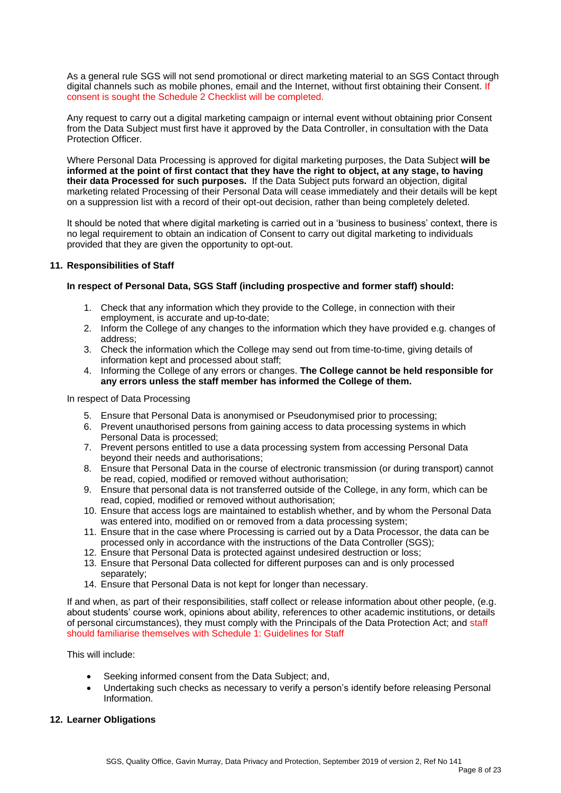As a general rule SGS will not send promotional or direct marketing material to an SGS Contact through digital channels such as mobile phones, email and the Internet, without first obtaining their Consent. If consent is sought the Schedule 2 Checklist will be completed.

Any request to carry out a digital marketing campaign or internal event without obtaining prior Consent from the Data Subject must first have it approved by the Data Controller, in consultation with the Data Protection Officer.

Where Personal Data Processing is approved for digital marketing purposes, the Data Subject **will be informed at the point of first contact that they have the right to object, at any stage, to having their data Processed for such purposes.** If the Data Subject puts forward an objection, digital marketing related Processing of their Personal Data will cease immediately and their details will be kept on a suppression list with a record of their opt-out decision, rather than being completely deleted.

It should be noted that where digital marketing is carried out in a 'business to business' context, there is no legal requirement to obtain an indication of Consent to carry out digital marketing to individuals provided that they are given the opportunity to opt-out.

# **11. Responsibilities of Staff**

# **In respect of Personal Data, SGS Staff (including prospective and former staff) should:**

- 1. Check that any information which they provide to the College, in connection with their employment, is accurate and up-to-date;
- 2. Inform the College of any changes to the information which they have provided e.g. changes of address;
- 3. Check the information which the College may send out from time-to-time, giving details of information kept and processed about staff;
- 4. Informing the College of any errors or changes. **The College cannot be held responsible for any errors unless the staff member has informed the College of them.**

In respect of Data Processing

- 5. Ensure that Personal Data is anonymised or Pseudonymised prior to processing;
- 6. Prevent unauthorised persons from gaining access to data processing systems in which Personal Data is processed;
- 7. Prevent persons entitled to use a data processing system from accessing Personal Data beyond their needs and authorisations;
- 8. Ensure that Personal Data in the course of electronic transmission (or during transport) cannot be read, copied, modified or removed without authorisation;
- 9. Ensure that personal data is not transferred outside of the College, in any form, which can be read, copied, modified or removed without authorisation;
- 10. Ensure that access logs are maintained to establish whether, and by whom the Personal Data was entered into, modified on or removed from a data processing system;
- 11. Ensure that in the case where Processing is carried out by a Data Processor, the data can be processed only in accordance with the instructions of the Data Controller (SGS);
- 12. Ensure that Personal Data is protected against undesired destruction or loss;
- 13. Ensure that Personal Data collected for different purposes can and is only processed separately:
- 14. Ensure that Personal Data is not kept for longer than necessary.

If and when, as part of their responsibilities, staff collect or release information about other people, (e.g. about students' course work, opinions about ability, references to other academic institutions, or details of personal circumstances), they must comply with the Principals of the Data Protection Act; and staff should familiarise themselves with Schedule 1: Guidelines for Staff

This will include:

- Seeking informed consent from the Data Subject; and,
- Undertaking such checks as necessary to verify a person's identify before releasing Personal Information.

# **12. Learner Obligations**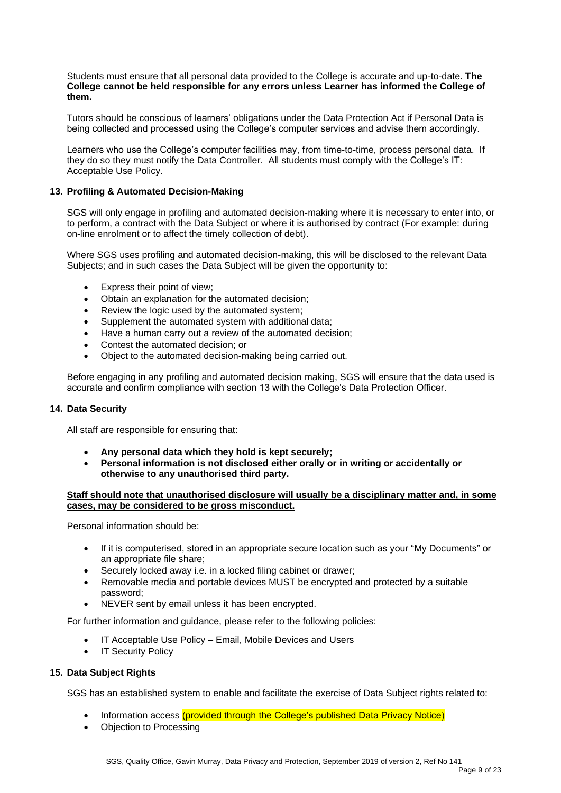Students must ensure that all personal data provided to the College is accurate and up-to-date. **The College cannot be held responsible for any errors unless Learner has informed the College of them.**

Tutors should be conscious of learners' obligations under the Data Protection Act if Personal Data is being collected and processed using the College's computer services and advise them accordingly.

Learners who use the College's computer facilities may, from time-to-time, process personal data. If they do so they must notify the Data Controller. All students must comply with the College's IT: Acceptable Use Policy.

# **13. Profiling & Automated Decision-Making**

SGS will only engage in profiling and automated decision-making where it is necessary to enter into, or to perform, a contract with the Data Subject or where it is authorised by contract (For example: during on-line enrolment or to affect the timely collection of debt).

Where SGS uses profiling and automated decision-making, this will be disclosed to the relevant Data Subjects; and in such cases the Data Subject will be given the opportunity to:

- Express their point of view;
- Obtain an explanation for the automated decision;
- Review the logic used by the automated system;
- Supplement the automated system with additional data;
- Have a human carry out a review of the automated decision;
- Contest the automated decision; or
- Object to the automated decision-making being carried out.

Before engaging in any profiling and automated decision making, SGS will ensure that the data used is accurate and confirm compliance with section 13 with the College's Data Protection Officer.

#### **14. Data Security**

All staff are responsible for ensuring that:

- **Any personal data which they hold is kept securely;**
- **Personal information is not disclosed either orally or in writing or accidentally or otherwise to any unauthorised third party.**

# **Staff should note that unauthorised disclosure will usually be a disciplinary matter and, in some cases, may be considered to be gross misconduct.**

Personal information should be:

- If it is computerised, stored in an appropriate secure location such as your "My Documents" or an appropriate file share;
- Securely locked away i.e. in a locked filing cabinet or drawer;
- Removable media and portable devices MUST be encrypted and protected by a suitable password;
- NEVER sent by email unless it has been encrypted.

For further information and guidance, please refer to the following policies:

- IT Acceptable Use Policy Email, Mobile Devices and Users
- IT Security Policy

#### **15. Data Subject Rights**

SGS has an established system to enable and facilitate the exercise of Data Subject rights related to:

- Information access (provided through the College's published Data Privacy Notice)
- Objection to Processing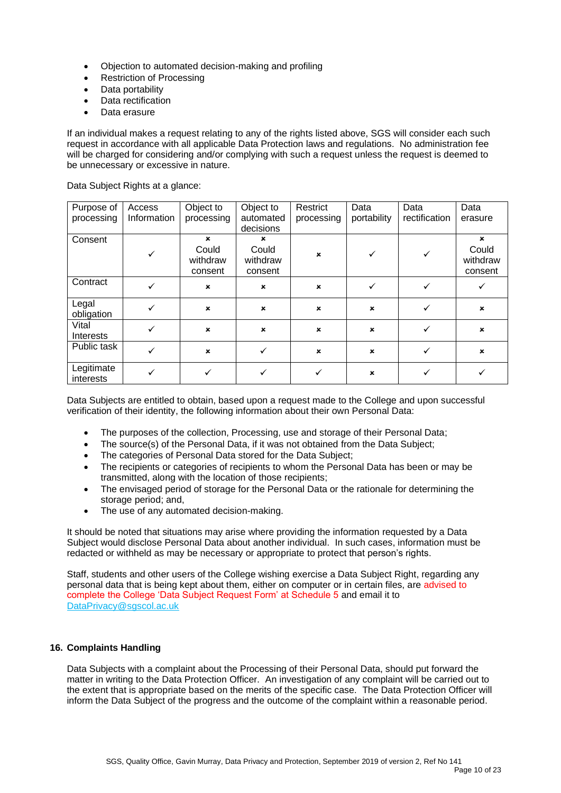- Objection to automated decision-making and profiling
- Restriction of Processing
- Data portability
- Data rectification
- Data erasure

If an individual makes a request relating to any of the rights listed above, SGS will consider each such request in accordance with all applicable Data Protection laws and regulations. No administration fee will be charged for considering and/or complying with such a request unless the request is deemed to be unnecessary or excessive in nature.

Data Subject Rights at a glance:

| Purpose of              | Access       | Object to                                   | Object to                                   | Restrict                  | Data           | Data          | Data                                                      |
|-------------------------|--------------|---------------------------------------------|---------------------------------------------|---------------------------|----------------|---------------|-----------------------------------------------------------|
| processing              | Information  | processing                                  | automated<br>decisions                      | processing                | portability    | rectification | erasure                                                   |
| Consent                 | ✓            | $\mathbf x$<br>Could<br>withdraw<br>consent | $\mathbf x$<br>Could<br>withdraw<br>consent | $\mathbf{x}$              | ✓              |               | $\boldsymbol{\mathsf{x}}$<br>Could<br>withdraw<br>consent |
| Contract                | ✓            | $\pmb{\times}$                              | $\boldsymbol{\mathsf{x}}$                   | $\boldsymbol{\mathsf{x}}$ |                |               |                                                           |
| Legal<br>obligation     |              | $\mathbf x$                                 | $\boldsymbol{\mathsf{x}}$                   | $\mathbf x$               | $\mathbf x$    |               | $\boldsymbol{\mathsf{x}}$                                 |
| Vital<br>Interests      | ✓            | $\mathbf x$                                 | $\boldsymbol{\mathsf{x}}$                   | $\boldsymbol{\mathsf{x}}$ | $\pmb{\times}$ |               | $\boldsymbol{\mathsf{x}}$                                 |
| Public task             | $\checkmark$ | $\pmb{\times}$                              |                                             | $\boldsymbol{\mathsf{x}}$ | $\pmb{\times}$ |               | $\pmb{\times}$                                            |
| Legitimate<br>interests |              |                                             |                                             | ✓                         | $\pmb{\times}$ |               |                                                           |

Data Subjects are entitled to obtain, based upon a request made to the College and upon successful verification of their identity, the following information about their own Personal Data:

- The purposes of the collection, Processing, use and storage of their Personal Data;
- The source(s) of the Personal Data, if it was not obtained from the Data Subject;
- The categories of Personal Data stored for the Data Subject;
- The recipients or categories of recipients to whom the Personal Data has been or may be transmitted, along with the location of those recipients;
- The envisaged period of storage for the Personal Data or the rationale for determining the storage period; and,
- The use of any automated decision-making.

It should be noted that situations may arise where providing the information requested by a Data Subject would disclose Personal Data about another individual. In such cases, information must be redacted or withheld as may be necessary or appropriate to protect that person's rights.

Staff, students and other users of the College wishing exercise a Data Subject Right, regarding any personal data that is being kept about them, either on computer or in certain files, are advised to complete the College 'Data Subject Request Form' at Schedule 5 and email it to [DataPrivacy@sgscol.ac.uk](mailto:DataPrivacy@sgscol.ac.uk)

# **16. Complaints Handling**

Data Subjects with a complaint about the Processing of their Personal Data, should put forward the matter in writing to the Data Protection Officer. An investigation of any complaint will be carried out to the extent that is appropriate based on the merits of the specific case. The Data Protection Officer will inform the Data Subject of the progress and the outcome of the complaint within a reasonable period.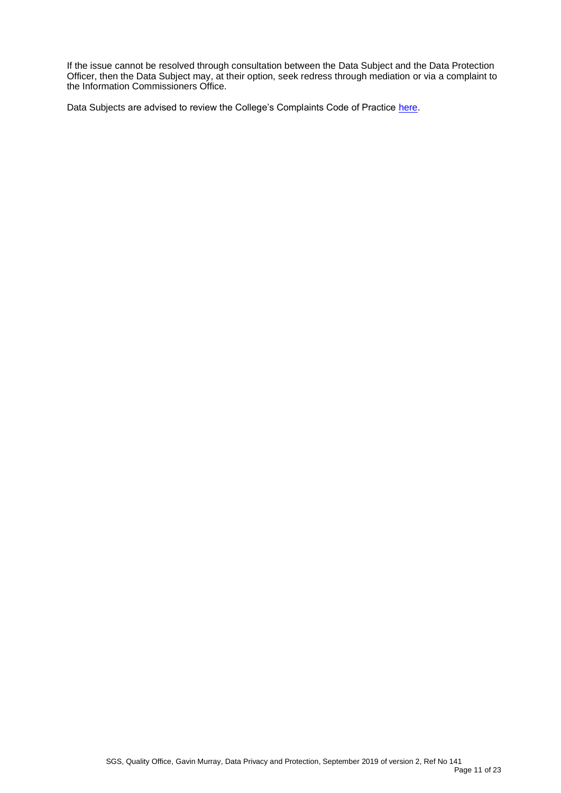If the issue cannot be resolved through consultation between the Data Subject and the Data Protection Officer, then the Data Subject may, at their option, seek redress through mediation or via a complaint to the Information Commissioners Office.

Data Subjects are advised to review the College's Complaints Code of Practice [here.](http://www.sgscol.ac.uk/repository/documents/policies/Code_of_Practice_Compliments_Process.pdf)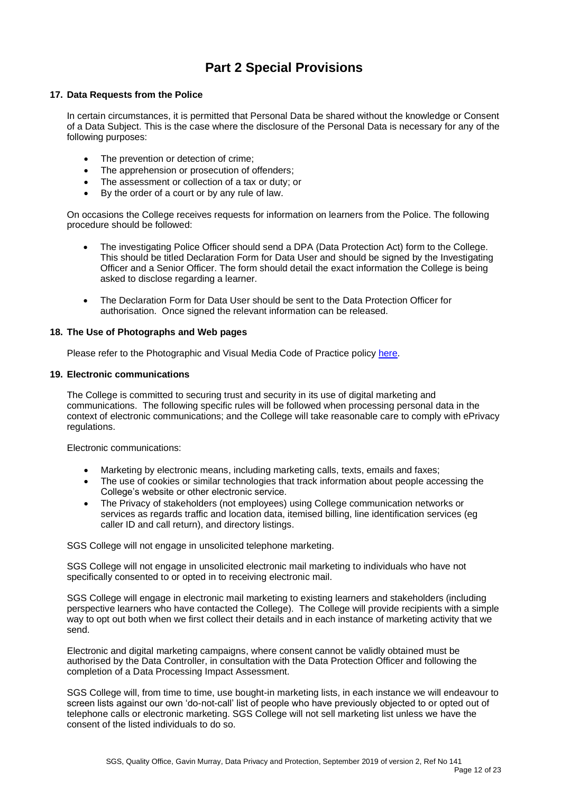# **Part 2 Special Provisions**

# **17. Data Requests from the Police**

In certain circumstances, it is permitted that Personal Data be shared without the knowledge or Consent of a Data Subject. This is the case where the disclosure of the Personal Data is necessary for any of the following purposes:

- The prevention or detection of crime;
- The apprehension or prosecution of offenders;
- The assessment or collection of a tax or duty; or
- By the order of a court or by any rule of law.

On occasions the College receives requests for information on learners from the Police. The following procedure should be followed:

- The investigating Police Officer should send a DPA (Data Protection Act) form to the College. This should be titled Declaration Form for Data User and should be signed by the Investigating Officer and a Senior Officer. The form should detail the exact information the College is being asked to disclose regarding a learner.
- The Declaration Form for Data User should be sent to the Data Protection Officer for authorisation. Once signed the relevant information can be released.

#### **18. The Use of Photographs and Web pages**

Please refer to the Photographic and Visual Media Code of Practice polic[y here.](https://sgscol.sharepoint.com/:w:/r/sites/staff/DataHub/_layouts/15/WopiFrame.aspx?sourcedoc=%7B2DBE3F16-52D4-46C9-B761-CE1D38480D28%7D&file=Photographic%20and%20Visual%20Media%20Policy,%20Code%20of%20Practice%20and%20Procedures.docx&action=default&DefaultItemOpen=1)

#### **19. Electronic communications**

The College is committed to securing trust and security in its use of digital marketing and communications. The following specific rules will be followed when processing personal data in the context of electronic communications; and the College will take reasonable care to comply with ePrivacy regulations.

Electronic communications:

- Marketing by electronic means, including marketing calls, texts, emails and faxes;
- The use of cookies or similar technologies that track information about people accessing the College's website or other electronic service.
- The Privacy of stakeholders (not employees) using College communication networks or services as regards traffic and location data, itemised billing, line identification services (eg caller ID and call return), and directory listings.

SGS College will not engage in unsolicited telephone marketing.

SGS College will not engage in unsolicited electronic mail marketing to individuals who have not specifically consented to or opted in to receiving electronic mail.

SGS College will engage in electronic mail marketing to existing learners and stakeholders (including perspective learners who have contacted the College). The College will provide recipients with a simple way to opt out both when we first collect their details and in each instance of marketing activity that we send.

Electronic and digital marketing campaigns, where consent cannot be validly obtained must be authorised by the Data Controller, in consultation with the Data Protection Officer and following the completion of a Data Processing Impact Assessment.

SGS College will, from time to time, use bought-in marketing lists, in each instance we will endeavour to screen lists against our own 'do-not-call' list of people who have previously objected to or opted out of telephone calls or electronic marketing. SGS College will not sell marketing list unless we have the consent of the listed individuals to do so.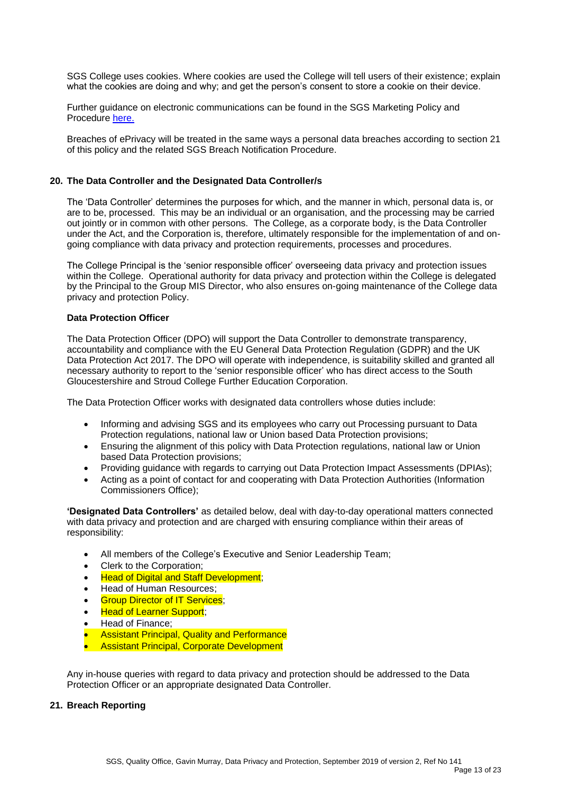SGS College uses cookies. Where cookies are used the College will tell users of their existence; explain what the cookies are doing and why; and get the person's consent to store a cookie on their device.

Further guidance on electronic communications can be found in the SGS Marketing Policy and Procedure [here.](https://sgscol.sharepoint.com/:w:/r/sites/staff/DataHub/_layouts/15/Doc.aspx?sourcedoc=%7B74659ED6-1C65-471B-A34A-483AF8B68DEA%7D&file=Marketing%20Policy%20and%20Procedure.docx&action=default&mobileredirect=true) 

Breaches of ePrivacy will be treated in the same ways a personal data breaches according to section 21 of this policy and the related SGS Breach Notification Procedure.

#### **20. The Data Controller and the Designated Data Controller/s**

The 'Data Controller' determines the purposes for which, and the manner in which, personal data is, or are to be, processed. This may be an individual or an organisation, and the processing may be carried out jointly or in common with other persons. The College, as a corporate body, is the Data Controller under the Act, and the Corporation is, therefore, ultimately responsible for the implementation of and ongoing compliance with data privacy and protection requirements, processes and procedures.

The College Principal is the 'senior responsible officer' overseeing data privacy and protection issues within the College. Operational authority for data privacy and protection within the College is delegated by the Principal to the Group MIS Director, who also ensures on-going maintenance of the College data privacy and protection Policy.

### **Data Protection Officer**

The Data Protection Officer (DPO) will support the Data Controller to demonstrate transparency, accountability and compliance with the EU General Data Protection Regulation (GDPR) and the UK Data Protection Act 2017. The DPO will operate with independence, is suitability skilled and granted all necessary authority to report to the 'senior responsible officer' who has direct access to the South Gloucestershire and Stroud College Further Education Corporation.

The Data Protection Officer works with designated data controllers whose duties include:

- Informing and advising SGS and its employees who carry out Processing pursuant to Data Protection regulations, national law or Union based Data Protection provisions;
- Ensuring the alignment of this policy with Data Protection regulations, national law or Union based Data Protection provisions;
- Providing guidance with regards to carrying out Data Protection Impact Assessments (DPIAs);
- Acting as a point of contact for and cooperating with Data Protection Authorities (Information Commissioners Office);

**'Designated Data Controllers'** as detailed below, deal with day-to-day operational matters connected with data privacy and protection and are charged with ensuring compliance within their areas of responsibility:

- All members of the College's Executive and Senior Leadership Team;
- Clerk to the Corporation;
- Head of Digital and Staff Development;
- Head of Human Resources;
- **Group Director of IT Services:**
- **Head of Learner Support;**
- Head of Finance;
- **Assistant Principal, Quality and Performance**
- Assistant Principal, Corporate Development

Any in-house queries with regard to data privacy and protection should be addressed to the Data Protection Officer or an appropriate designated Data Controller.

#### **21. Breach Reporting**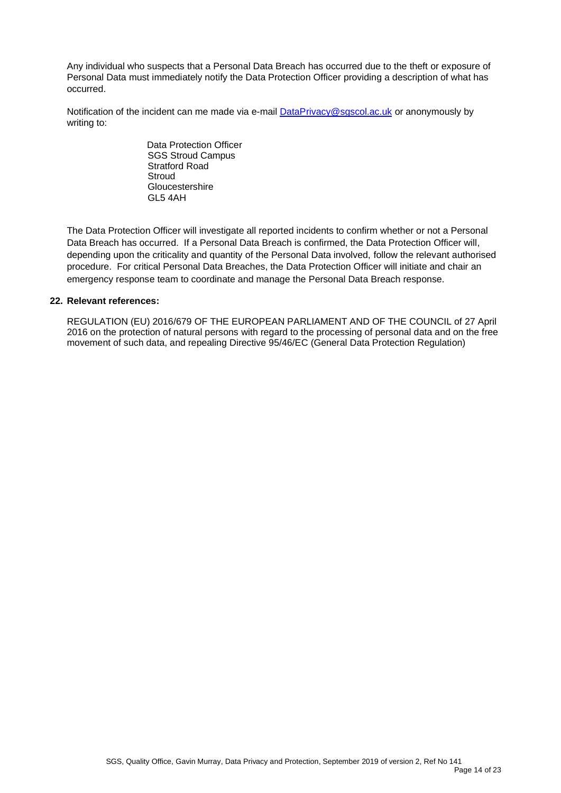Any individual who suspects that a Personal Data Breach has occurred due to the theft or exposure of Personal Data must immediately notify the Data Protection Officer providing a description of what has occurred.

Notification of the incident can me made via e-mail [DataPrivacy@sgscol.ac.uk](mailto:DataPrivacy@sgscol.ac.uk) or anonymously by writing to:

> Data Protection Officer SGS Stroud Campus Stratford Road **Stroud Gloucestershire** GL5 4AH

The Data Protection Officer will investigate all reported incidents to confirm whether or not a Personal Data Breach has occurred. If a Personal Data Breach is confirmed, the Data Protection Officer will, depending upon the criticality and quantity of the Personal Data involved, follow the relevant authorised procedure. For critical Personal Data Breaches, the Data Protection Officer will initiate and chair an emergency response team to coordinate and manage the Personal Data Breach response.

# **22. Relevant references:**

REGULATION (EU) 2016/679 OF THE EUROPEAN PARLIAMENT AND OF THE COUNCIL of 27 April 2016 on the protection of natural persons with regard to the processing of personal data and on the free movement of such data, and repealing Directive 95/46/EC (General Data Protection Regulation)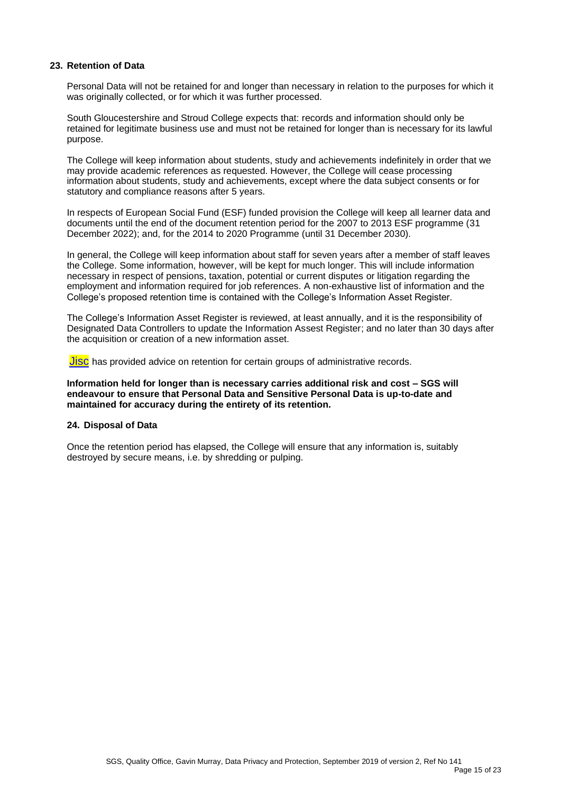# **23. Retention of Data**

Personal Data will not be retained for and longer than necessary in relation to the purposes for which it was originally collected, or for which it was further processed.

South Gloucestershire and Stroud College expects that: records and information should only be retained for legitimate business use and must not be retained for longer than is necessary for its lawful purpose.

The College will keep information about students, study and achievements indefinitely in order that we may provide academic references as requested. However, the College will cease processing information about students, study and achievements, except where the data subject consents or for statutory and compliance reasons after 5 years.

In respects of European Social Fund (ESF) funded provision the College will keep all learner data and documents until the end of the document retention period for the 2007 to 2013 ESF programme (31 December 2022); and, for the 2014 to 2020 Programme (until 31 December 2030).

In general, the College will keep information about staff for seven years after a member of staff leaves the College. Some information, however, will be kept for much longer. This will include information necessary in respect of pensions, taxation, potential or current disputes or litigation regarding the employment and information required for job references. A non-exhaustive list of information and the College's proposed retention time is contained with the College's Information Asset Register.

The College's Information Asset Register is reviewed, at least annually, and it is the responsibility of Designated Data Controllers to update the Information Assest Register; and no later than 30 days after the acquisition or creation of a new information asset.

**[Jisc](https://www.jisc.ac.uk/guides/records-management/retention-management)** has provided advice on retention for certain groups of administrative records.

#### **Information held for longer than is necessary carries additional risk and cost – SGS will endeavour to ensure that Personal Data and Sensitive Personal Data is up-to-date and maintained for accuracy during the entirety of its retention.**

#### **24. Disposal of Data**

Once the retention period has elapsed, the College will ensure that any information is, suitably destroyed by secure means, i.e. by shredding or pulping.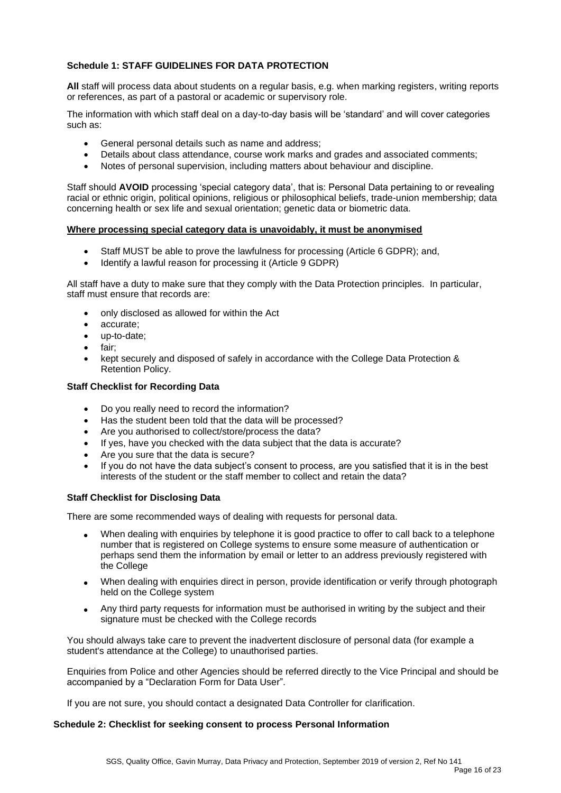# **Schedule 1: STAFF GUIDELINES FOR DATA PROTECTION**

**All** staff will process data about students on a regular basis, e.g. when marking registers, writing reports or references, as part of a pastoral or academic or supervisory role.

The information with which staff deal on a day-to-day basis will be 'standard' and will cover categories such as:

- General personal details such as name and address;
- Details about class attendance, course work marks and grades and associated comments;
- Notes of personal supervision, including matters about behaviour and discipline.

Staff should **AVOID** processing 'special category data', that is: Personal Data pertaining to or revealing racial or ethnic origin, political opinions, religious or philosophical beliefs, trade-union membership; data concerning health or sex life and sexual orientation; genetic data or biometric data.

#### **Where processing special category data is unavoidably, it must be anonymised**

- Staff MUST be able to prove the lawfulness for processing (Article 6 GDPR); and,
- Identify a lawful reason for processing it (Article 9 GDPR)

All staff have a duty to make sure that they comply with the Data Protection principles. In particular, staff must ensure that records are:

- only disclosed as allowed for within the Act
- accurate;
- up-to-date;
- fair;
- kept securely and disposed of safely in accordance with the College Data Protection & Retention Policy.

# **Staff Checklist for Recording Data**

- Do you really need to record the information?
- Has the student been told that the data will be processed?
- Are you authorised to collect/store/process the data?
- If yes, have you checked with the data subject that the data is accurate?
- Are you sure that the data is secure?
- If you do not have the data subject's consent to process, are you satisfied that it is in the best interests of the student or the staff member to collect and retain the data?

#### **Staff Checklist for Disclosing Data**

There are some recommended ways of dealing with requests for personal data.

- When dealing with enquiries by telephone it is good practice to offer to call back to a telephone number that is registered on College systems to ensure some measure of authentication or perhaps send them the information by email or letter to an address previously registered with the College
- When dealing with enquiries direct in person, provide identification or verify through photograph held on the College system
- Any third party requests for information must be authorised in writing by the subject and their signature must be checked with the College records

You should always take care to prevent the inadvertent disclosure of personal data (for example a student's attendance at the College) to unauthorised parties.

Enquiries from Police and other Agencies should be referred directly to the Vice Principal and should be accompanied by a "Declaration Form for Data User".

If you are not sure, you should contact a designated Data Controller for clarification.

# **Schedule 2: Checklist for seeking consent to process Personal Information**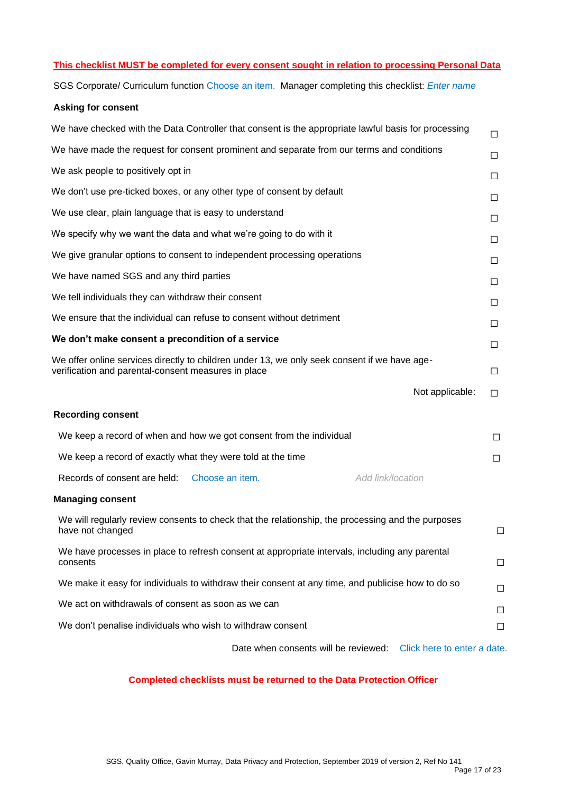### **This checklist MUST be completed for every consent sought in relation to processing Personal Data**

SGS Corporate/ Curriculum function Choose an item. Manager completing this checklist: *Enter name*

# **Asking for consent**

| We have checked with the Data Controller that consent is the appropriate lawful basis for processing                                                | □      |
|-----------------------------------------------------------------------------------------------------------------------------------------------------|--------|
| We have made the request for consent prominent and separate from our terms and conditions                                                           | □      |
| We ask people to positively opt in                                                                                                                  | □      |
| We don't use pre-ticked boxes, or any other type of consent by default                                                                              | □      |
| We use clear, plain language that is easy to understand                                                                                             | □      |
| We specify why we want the data and what we're going to do with it                                                                                  | □      |
| We give granular options to consent to independent processing operations                                                                            | □      |
| We have named SGS and any third parties                                                                                                             | □      |
| We tell individuals they can withdraw their consent                                                                                                 | □      |
| We ensure that the individual can refuse to consent without detriment                                                                               | □      |
| We don't make consent a precondition of a service                                                                                                   | □      |
| We offer online services directly to children under 13, we only seek consent if we have age-<br>verification and parental-consent measures in place | $\Box$ |
| Not applicable:                                                                                                                                     | □      |
| <b>Recording consent</b>                                                                                                                            |        |
| We keep a record of when and how we got consent from the individual                                                                                 | П      |
| We keep a record of exactly what they were told at the time                                                                                         | □      |
| Records of consent are held: Choose an item.<br>Add link/location                                                                                   |        |
| <b>Managing consent</b>                                                                                                                             |        |
| We will regularly review consents to check that the relationship, the processing and the purposes<br>have not changed                               | □      |
| We have processes in place to refresh consent at appropriate intervals, including any parental<br>consents                                          | □      |
| We make it easy for individuals to withdraw their consent at any time, and publicise how to do so                                                   | $\Box$ |
| We act on withdrawals of consent as soon as we can                                                                                                  | □      |
| We don't penalise individuals who wish to withdraw consent                                                                                          | □      |
| Date when consents will be reviewed: Click here to enter a date.                                                                                    |        |

# **Completed checklists must be returned to the Data Protection Officer**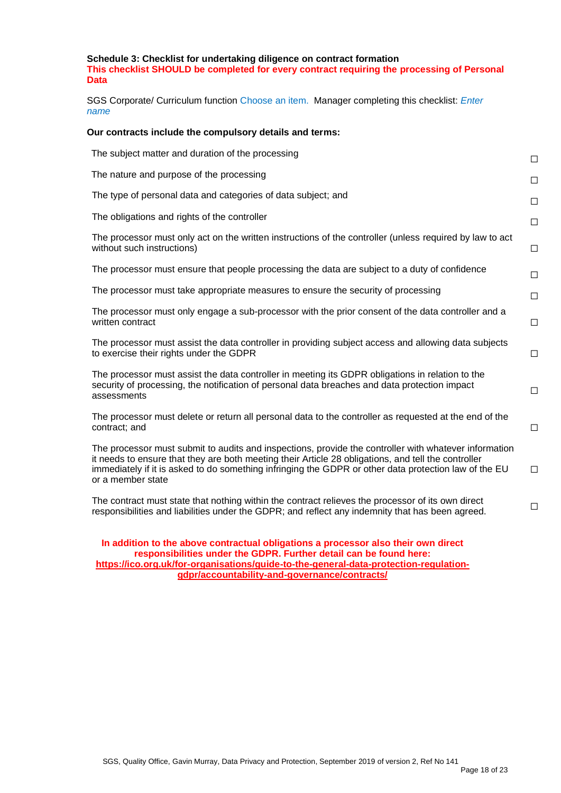# **Schedule 3: Checklist for undertaking diligence on contract formation This checklist SHOULD be completed for every contract requiring the processing of Personal Data**

SGS Corporate/ Curriculum function Choose an item. Manager completing this checklist: *Enter name*

#### **Our contracts include the compulsory details and terms:**

| The subject matter and duration of the processing                                                                                                                                                                                                                                                                                          | $\Box$ |
|--------------------------------------------------------------------------------------------------------------------------------------------------------------------------------------------------------------------------------------------------------------------------------------------------------------------------------------------|--------|
| The nature and purpose of the processing                                                                                                                                                                                                                                                                                                   | $\Box$ |
| The type of personal data and categories of data subject; and                                                                                                                                                                                                                                                                              | $\Box$ |
| The obligations and rights of the controller                                                                                                                                                                                                                                                                                               | $\Box$ |
| The processor must only act on the written instructions of the controller (unless required by law to act<br>without such instructions)                                                                                                                                                                                                     | $\Box$ |
| The processor must ensure that people processing the data are subject to a duty of confidence                                                                                                                                                                                                                                              | $\Box$ |
| The processor must take appropriate measures to ensure the security of processing                                                                                                                                                                                                                                                          | $\Box$ |
| The processor must only engage a sub-processor with the prior consent of the data controller and a<br>written contract                                                                                                                                                                                                                     | $\Box$ |
| The processor must assist the data controller in providing subject access and allowing data subjects<br>to exercise their rights under the GDPR                                                                                                                                                                                            | $\Box$ |
| The processor must assist the data controller in meeting its GDPR obligations in relation to the<br>security of processing, the notification of personal data breaches and data protection impact<br>assessments                                                                                                                           | $\Box$ |
| The processor must delete or return all personal data to the controller as requested at the end of the<br>contract; and                                                                                                                                                                                                                    | $\Box$ |
| The processor must submit to audits and inspections, provide the controller with whatever information<br>it needs to ensure that they are both meeting their Article 28 obligations, and tell the controller<br>immediately if it is asked to do something infringing the GDPR or other data protection law of the EU<br>or a member state | $\Box$ |
| The contract must state that nothing within the contract relieves the processor of its own direct<br>responsibilities and liabilities under the GDPR; and reflect any indemnity that has been agreed.                                                                                                                                      | $\Box$ |
| In addition to the above contractual obligations a processor also their own direct                                                                                                                                                                                                                                                         |        |

**responsibilities under the GDPR. Further detail can be found here: [https://ico.org.uk/for-organisations/guide-to-the-general-data-protection-regulation](https://ico.org.uk/for-organisations/guide-to-the-general-data-protection-regulation-gdpr/accountability-and-governance/contracts/)[gdpr/accountability-and-governance/contracts/](https://ico.org.uk/for-organisations/guide-to-the-general-data-protection-regulation-gdpr/accountability-and-governance/contracts/)**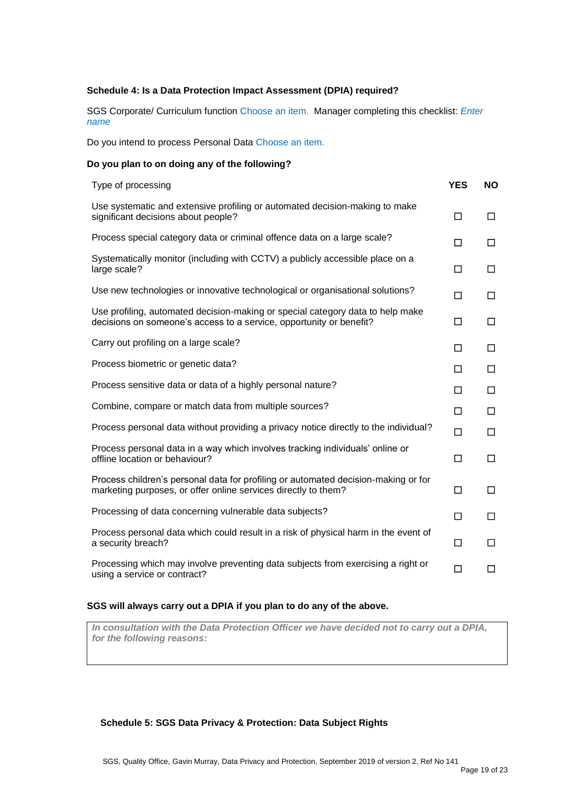## **Schedule 4: Is a Data Protection Impact Assessment (DPIA) required?**

SGS Corporate/ Curriculum function Choose an item. Manager completing this checklist: *Enter name*

Do you intend to process Personal Data Choose an item.

# **Do you plan to on doing any of the following?**

| Type of processing                                                                                                                                    | <b>YES</b> | <b>NO</b> |
|-------------------------------------------------------------------------------------------------------------------------------------------------------|------------|-----------|
| Use systematic and extensive profiling or automated decision-making to make<br>significant decisions about people?                                    | □          | $\Box$    |
| Process special category data or criminal offence data on a large scale?                                                                              | П          | □         |
| Systematically monitor (including with CCTV) a publicly accessible place on a<br>large scale?                                                         | □          | $\Box$    |
| Use new technologies or innovative technological or organisational solutions?                                                                         | □          | □         |
| Use profiling, automated decision-making or special category data to help make<br>decisions on someone's access to a service, opportunity or benefit? | □          | $\Box$    |
| Carry out profiling on a large scale?                                                                                                                 | $\Box$     | □         |
| Process biometric or genetic data?                                                                                                                    | П          | $\Box$    |
| Process sensitive data or data of a highly personal nature?                                                                                           | П          | □         |
| Combine, compare or match data from multiple sources?                                                                                                 | □          | □         |
| Process personal data without providing a privacy notice directly to the individual?                                                                  | $\Box$     | $\Box$    |
| Process personal data in a way which involves tracking individuals' online or<br>offline location or behaviour?                                       | □          | □         |
| Process children's personal data for profiling or automated decision-making or for<br>marketing purposes, or offer online services directly to them?  | □          | $\Box$    |
| Processing of data concerning vulnerable data subjects?                                                                                               | П          | □         |
| Process personal data which could result in a risk of physical harm in the event of<br>a security breach?                                             | П          | □         |
| Processing which may involve preventing data subjects from exercising a right or<br>using a service or contract?                                      | □          | □         |

# **SGS will always carry out a DPIA if you plan to do any of the above.**

*In consultation with the Data Protection Officer we have decided not to carry out a DPIA, for the following reasons:* 

# **Schedule 5: SGS Data Privacy & Protection: Data Subject Rights**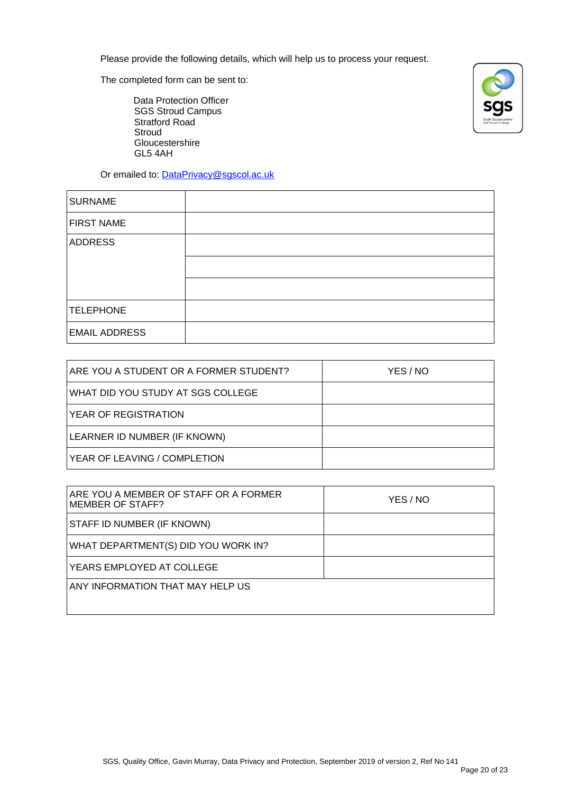Please provide the following details, which will help us to process your request.

The completed form can be sent to:

Data Protection Officer SGS Stroud Campus Stratford Road **Stroud** Gloucestershire GL5 4AH



Or emailed to: [DataPrivacy@sgscol.ac.uk](mailto:DataPrivacy@sgscol.ac.uk)

| <b>SURNAME</b>       |  |
|----------------------|--|
| <b>FIRST NAME</b>    |  |
| <b>ADDRESS</b>       |  |
|                      |  |
|                      |  |
| <b>TELEPHONE</b>     |  |
| <b>EMAIL ADDRESS</b> |  |

| ARE YOU A STUDENT OR A FORMER STUDENT? | YES / NO |
|----------------------------------------|----------|
| WHAT DID YOU STUDY AT SGS COLLEGE      |          |
| YEAR OF REGISTRATION                   |          |
| LEARNER ID NUMBER (IF KNOWN)           |          |
| YEAR OF LEAVING / COMPLETION           |          |

| ARE YOU A MEMBER OF STAFF OR A FORMER<br><b>MEMBER OF STAFF?</b> | YES / NO |
|------------------------------------------------------------------|----------|
| STAFF ID NUMBER (IF KNOWN)                                       |          |
| WHAT DEPARTMENT(S) DID YOU WORK IN?                              |          |
| YEARS EMPLOYED AT COLLEGE                                        |          |
| ANY INFORMATION THAT MAY HELP US                                 |          |
|                                                                  |          |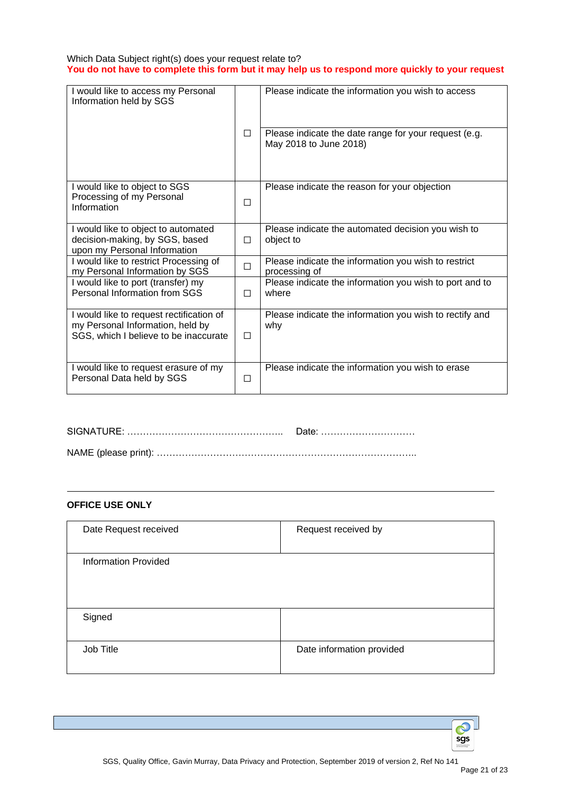# Which Data Subject right(s) does your request relate to? **You do not have to complete this form but it may help us to respond more quickly to your request**

| I would like to access my Personal<br>Information held by SGS                                                         |        | Please indicate the information you wish to access                              |
|-----------------------------------------------------------------------------------------------------------------------|--------|---------------------------------------------------------------------------------|
|                                                                                                                       | $\Box$ | Please indicate the date range for your request (e.g.<br>May 2018 to June 2018) |
| I would like to object to SGS<br>Processing of my Personal<br>Information                                             | $\Box$ | Please indicate the reason for your objection                                   |
| I would like to object to automated<br>decision-making, by SGS, based<br>upon my Personal Information                 | $\Box$ | Please indicate the automated decision you wish to<br>object to                 |
| I would like to restrict Processing of<br>my Personal Information by SGS                                              | □      | Please indicate the information you wish to restrict<br>processing of           |
| I would like to port (transfer) my<br>Personal Information from SGS                                                   | П      | Please indicate the information you wish to port and to<br>where                |
| I would like to request rectification of<br>my Personal Information, held by<br>SGS, which I believe to be inaccurate | $\Box$ | Please indicate the information you wish to rectify and<br>why                  |
| I would like to request erasure of my<br>Personal Data held by SGS                                                    | □      | Please indicate the information you wish to erase                               |

SIGNATURE: ………………………………………….. Date: ………………………… NAME (please print): ………………………………………………………………………..

# **OFFICE USE ONLY**

| Date Request received       | Request received by       |
|-----------------------------|---------------------------|
| <b>Information Provided</b> |                           |
| Signed                      |                           |
| Job Title                   | Date information provided |